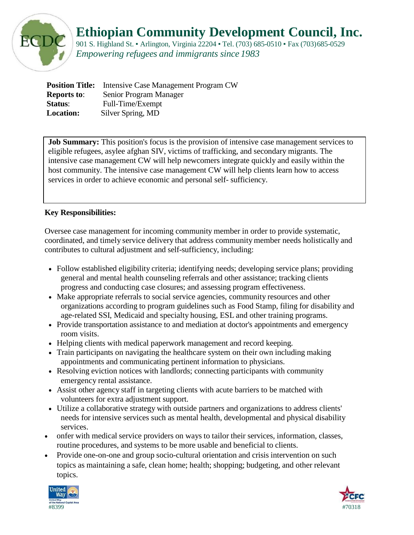

## **Ethiopian Community Development Council, Inc.**

901 S. Highland St. • Arlington, Virginia 22204 • Tel. (703) 685-0510 • Fax (703) 685-0529 *Empowering refugees and immigrants since 1983*

|                    | <b>Position Title:</b> Intensive Case Management Program CW |
|--------------------|-------------------------------------------------------------|
| <b>Reports to:</b> | Senior Program Manager                                      |
| <b>Status:</b>     | Full-Time/Exempt                                            |
| <b>Location:</b>   | Silver Spring, MD                                           |

**Job Summary:** This position's focus is the provision of intensive case management services to eligible refugees, asylee afghan SIV, victims of trafficking, and secondary migrants. The intensive case management CW will help newcomers integrate quickly and easily within the host community. The intensive case management CW will help clients learn how to access services in order to achieve economic and personal self- sufficiency.

#### **Key Responsibilities:**

Oversee case management for incoming community member in order to provide systematic, coordinated, and timely service delivery that address community member needs holistically and contributes to cultural adjustment and self-sufficiency, including:

- Follow established eligibility criteria; identifying needs; developing service plans; providing general and mental health counseling referrals and other assistance; tracking clients progress and conducting case closures; and assessing program effectiveness.
- Make appropriate referrals to social service agencies, community resources and other organizations according to program guidelines such as Food Stamp, filing for disability and age-related SSI, Medicaid and specialty housing, ESL and other training programs.
- Provide transportation assistance to and mediation at doctor's appointments and emergency room visits.
- Helping clients with medical paperwork management and record keeping.
- Train participants on navigating the healthcare system on their own including making appointments and communicating pertinent information to physicians.
- Resolving eviction notices with landlords; connecting participants with community emergency rental assistance.
- Assist other agency staff in targeting clients with acute barriers to be matched with volunteers for extra adjustment support.
- Utilize a collaborative strategy with outside partners and organizations to address clients' needs for intensive services such as mental health, developmental and physical disability services.
- onfer with medical service providers on ways to tailor their services, information, classes, routine procedures, and systems to be more usable and beneficial to clients.
- Provide one-on-one and group socio-cultural orientation and crisis intervention on such topics as maintaining a safe, clean home; health; shopping; budgeting, and other relevant topics.



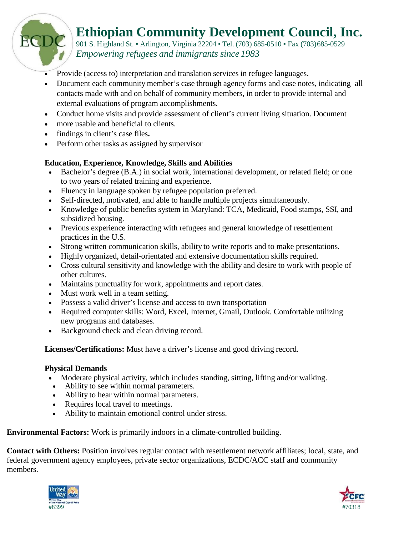# **Ethiopian Community Development Council, Inc.**

901 S. Highland St. • Arlington, Virginia 22204 • Tel. (703) 685-0510 • Fax (703) 685-0529 *Empowering refugees and immigrants since 1983*

- Provide (access to) interpretation and translation services in refugee languages.
- Document each community member's case through agency forms and case notes, indicating all contacts made with and on behalf of community members, in order to provide internal and external evaluations of program accomplishments.
- Conduct home visits and provide assessment of client's current living situation. Document
- more usable and beneficial to clients.
- findings in client's case files**.**

ECI

• Perform other tasks as assigned by supervisor

### **Education, Experience, Knowledge, Skills and Abilities**

- Bachelor's degree (B.A.) in social work, international development, or related field; or one to two years of related training and experience.
- Fluency in language spoken by refugee population preferred.
- Self-directed, motivated, and able to handle multiple projects simultaneously.
- Knowledge of public benefits system in Maryland: TCA, Medicaid, Food stamps, SSI, and subsidized housing.
- Previous experience interacting with refugees and general knowledge of resettlement practices in the U.S.
- Strong written communication skills, ability to write reports and to make presentations.
- Highly organized, detail-orientated and extensive documentation skills required.
- Cross cultural sensitivity and knowledge with the ability and desire to work with people of other cultures.
- Maintains punctuality for work, appointments and report dates.
- Must work well in a team setting.
- Possess a valid driver's license and access to own transportation
- Required computer skills: Word, Excel, Internet, Gmail, Outlook. Comfortable utilizing new programs and databases.
- Background check and clean driving record.

**Licenses/Certifications:** Must have a driver's license and good driving record.

### **Physical Demands**

- Moderate physical activity, which includes standing, sitting, lifting and/or walking.
- Ability to see within normal parameters.
- Ability to hear within normal parameters.
- Requires local travel to meetings.
- Ability to maintain emotional control under stress.

**Environmental Factors:** Work is primarily indoors in a climate-controlled building.

**Contact with Others:** Position involves regular contact with resettlement network affiliates; local, state, and federal government agency employees, private sector organizations, ECDC/ACC staff and community members.